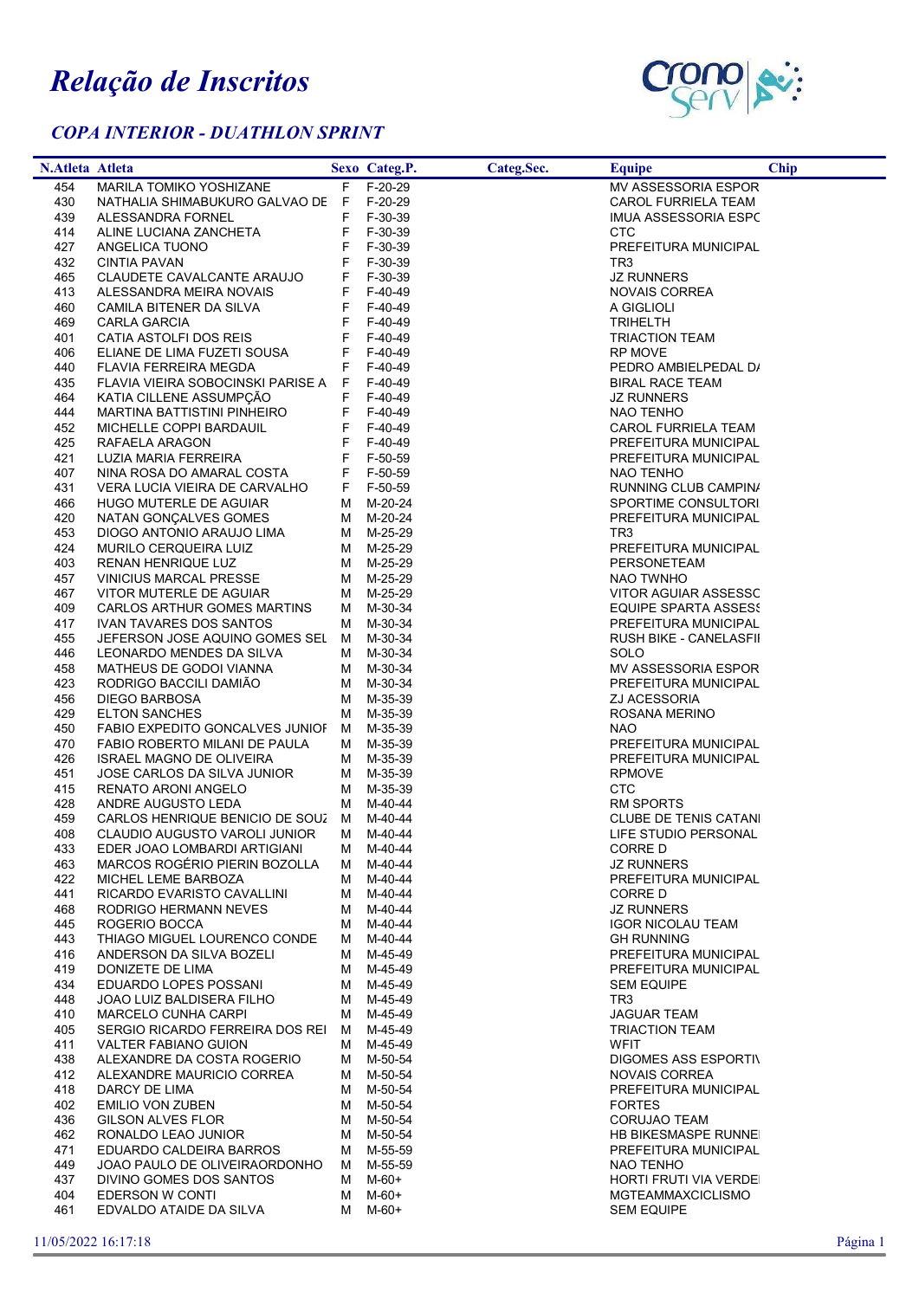## Relação de Inscritos

## COPA INTERIOR - DUATHLON SPRINT



| N.Atleta Atleta |                                                               |         | Sexo Categ.P.        | Categ.Sec. | <b>Equipe</b>                                  | <b>Chip</b> |
|-----------------|---------------------------------------------------------------|---------|----------------------|------------|------------------------------------------------|-------------|
| 454             | <b>MARILA TOMIKO YOSHIZANE</b>                                |         | F F-20-29            |            | <b>MV ASSESSORIA ESPOR</b>                     |             |
| 430             | NATHALIA SHIMABUKURO GALVAO DE F                              |         | F-20-29              |            | CAROL FURRIELA TEAM                            |             |
| 439             | ALESSANDRA FORNEL                                             | F       | F-30-39              |            | IMUA ASSESSORIA ESPC                           |             |
| 414             | ALINE LUCIANA ZANCHETA                                        | F       | F-30-39              |            | CTC                                            |             |
| 427             | ANGELICA TUONO                                                | F       | F-30-39              |            | PREFEITURA MUNICIPAL                           |             |
| 432             | CINTIA PAVAN                                                  | F       | F-30-39              |            | TR3                                            |             |
| 465             | CLAUDETE CAVALCANTE ARAUJO                                    | F       | F-30-39              |            | <b>JZ RUNNERS</b>                              |             |
| 413             | ALESSANDRA MEIRA NOVAIS                                       | F.      | F-40-49              |            | NOVAIS CORREA                                  |             |
| 460<br>469      | CAMILA BITENER DA SILVA<br>CARLA GARCIA                       | F.<br>F | F-40-49<br>F-40-49   |            | A GIGLIOLI<br><b>TRIHELTH</b>                  |             |
| 401             | CATIA ASTOLFI DOS REIS                                        | F       | F-40-49              |            | <b>TRIACTION TEAM</b>                          |             |
| 406             | ELIANE DE LIMA FUZETI SOUSA                                   | F.      | F-40-49              |            | <b>RP MOVE</b>                                 |             |
| 440             | FLAVIA FERREIRA MEGDA                                         | F.      | F-40-49              |            | PEDRO AMBIELPEDAL D/                           |             |
| 435             | FLAVIA VIEIRA SOBOCINSKI PARISE A                             | F.      | F-40-49              |            | <b>BIRAL RACE TEAM</b>                         |             |
| 464             | KATIA CILLENE ASSUMPÇÃO                                       | F       | F-40-49              |            | <b>JZ RUNNERS</b>                              |             |
| 444             | MARTINA BATTISTINI PINHEIRO                                   | F.      | F-40-49              |            | NAO TENHO                                      |             |
| 452             | MICHELLE COPPI BARDAUIL                                       | F       | F-40-49              |            | CAROL FURRIELA TEAM                            |             |
| 425             | RAFAELA ARAGON                                                | F.      | F-40-49              |            | PREFEITURA MUNICIPAL                           |             |
| 421             | LUZIA MARIA FERREIRA                                          | F       | F-50-59              |            | PREFEITURA MUNICIPAL                           |             |
| 407             | NINA ROSA DO AMARAL COSTA                                     |         | F F-50-59            |            | NAO TENHO                                      |             |
| 431             | VERA LUCIA VIEIRA DE CARVALHO                                 | F.      | F-50-59              |            | RUNNING CLUB CAMPINA                           |             |
| 466             | HUGO MUTERLE DE AGUIAR                                        | M       | M-20-24              |            | SPORTIME CONSULTORI                            |             |
| 420             | NATAN GONÇALVES GOMES                                         |         | M M-20-24            |            | PREFEITURA MUNICIPAL                           |             |
| 453             | DIOGO ANTONIO ARAUJO LIMA                                     |         | M M-25-29            |            | TR3                                            |             |
| 424             | MURILO CERQUEIRA LUIZ                                         |         | M M-25-29            |            | PREFEITURA MUNICIPAL                           |             |
| 403             | RENAN HENRIQUE LUZ                                            |         | M M-25-29            |            | PERSONETEAM                                    |             |
| 457             | <b>VINICIUS MARCAL PRESSE</b>                                 |         | M M-25-29            |            | NAO TWNHO                                      |             |
| 467             | VITOR MUTERLE DE AGUIAR                                       |         | M M-25-29            |            | VITOR AGUIAR ASSESSC                           |             |
| 409<br>417      | CARLOS ARTHUR GOMES MARTINS<br><b>IVAN TAVARES DOS SANTOS</b> | M<br>M  | M-30-34<br>M-30-34   |            | EQUIPE SPARTA ASSESS                           |             |
| 455             | JEFERSON JOSE AQUINO GOMES SEL M                              |         | M-30-34              |            | PREFEITURA MUNICIPAL<br>RUSH BIKE - CANELASFII |             |
| 446             | LEONARDO MENDES DA SILVA                                      | M       | M-30-34              |            | SOLO                                           |             |
| 458             | MATHEUS DE GODOI VIANNA                                       | M       | M-30-34              |            | MV ASSESSORIA ESPOR                            |             |
| 423             | RODRIGO BACCILI DAMIÃO                                        |         | M M-30-34            |            | PREFEITURA MUNICIPAL                           |             |
| 456             | DIEGO BARBOSA                                                 | M       | M-35-39              |            | ZJ ACESSORIA                                   |             |
| 429             | <b>ELTON SANCHES</b>                                          | м       | M-35-39              |            | ROSANA MERINO                                  |             |
| 450             | FABIO EXPEDITO GONCALVES JUNIOF                               | M       | M-35-39              |            | <b>NAO</b>                                     |             |
| 470             | FABIO ROBERTO MILANI DE PAULA                                 | M       | M-35-39              |            | PREFEITURA MUNICIPAL                           |             |
| 426             | ISRAEL MAGNO DE OLIVEIRA                                      |         | M M-35-39            |            | PREFEITURA MUNICIPAL                           |             |
| 451             | JOSE CARLOS DA SILVA JUNIOR                                   |         | M M-35-39            |            | <b>RPMOVE</b>                                  |             |
| 415             | RENATO ARONI ANGELO                                           | M       | M-35-39              |            | CTC                                            |             |
| 428             | ANDRE AUGUSTO LEDA                                            |         | M M-40-44            |            | RM SPORTS                                      |             |
| 459             | CARLOS HENRIQUE BENICIO DE SOUZ M                             |         | M-40-44              |            | <b>CLUBE DE TENIS CATANI</b>                   |             |
| 408             | CLAUDIO AUGUSTO VAROLI JUNIOR                                 |         | M M-40-44            |            | LIFE STUDIO PERSONAL                           |             |
| 433             | EDER JOAO LOMBARDI ARTIGIANI                                  |         | M M-40-44            |            | CORRE D                                        |             |
| 463             | MARCOS ROGÉRIO PIERIN BOZOLLA M M-40-44                       |         |                      |            | <b>JZ RUNNERS</b>                              |             |
| 422             | MICHEL LEME BARBOZA                                           |         | M M-40-44            |            | PREFEITURA MUNICIPAL                           |             |
| 441<br>468      | RICARDO EVARISTO CAVALLINI<br>RODRIGO HERMANN NEVES           | M       | M M-40-44<br>M-40-44 |            | CORRE D<br><b>JZ RUNNERS</b>                   |             |
| 445             | ROGERIO BOCCA                                                 |         | M M-40-44            |            | <b>IGOR NICOLAU TEAM</b>                       |             |
| 443             | THIAGO MIGUEL LOURENCO CONDE                                  | M       | M-40-44              |            | <b>GH RUNNING</b>                              |             |
| 416             | ANDERSON DA SILVA BOZELI                                      |         | M M-45-49            |            | PREFEITURA MUNICIPAL                           |             |
| 419             | DONIZETE DE LIMA                                              |         | M M-45-49            |            | PREFEITURA MUNICIPAL                           |             |
| 434             | EDUARDO LOPES POSSANI                                         |         | M M-45-49            |            | <b>SEM EQUIPE</b>                              |             |
| 448             | JOAO LUIZ BALDISERA FILHO                                     |         | M M-45-49            |            | TR3                                            |             |
| 410             | <b>MARCELO CUNHA CARPI</b>                                    |         | M M-45-49            |            | <b>JAGUAR TEAM</b>                             |             |
| 405             | SERGIO RICARDO FERREIRA DOS REI M                             |         | M-45-49              |            | <b>TRIACTION TEAM</b>                          |             |
| 411             | VALTER FABIANO GUION                                          | M       | M-45-49              |            | WFIT                                           |             |
| 438             | ALEXANDRE DA COSTA ROGERIO                                    | M       | M-50-54              |            | DIGOMES ASS ESPORTIV                           |             |
| 412             | ALEXANDRE MAURICIO CORREA                                     |         | M M-50-54            |            | NOVAIS CORREA                                  |             |
| 418             | DARCY DE LIMA                                                 |         | M M-50-54            |            | PREFEITURA MUNICIPAL                           |             |
| 402             | <b>EMILIO VON ZUBEN</b>                                       |         | M M-50-54            |            | <b>FORTES</b>                                  |             |
| 436             | GILSON ALVES FLOR                                             |         | M M-50-54            |            | <b>CORUJAO TEAM</b>                            |             |
| 462             | RONALDO LEAO JUNIOR                                           |         | M M-50-54            |            | HB BIKESMASPE RUNNEI                           |             |
| 471             | EDUARDO CALDEIRA BARROS                                       |         | M M-55-59            |            | PREFEITURA MUNICIPAL                           |             |
| 449<br>437      | JOAO PAULO DE OLIVEIRAORDONHO<br>DIVINO GOMES DOS SANTOS      | M<br>M  | M-55-59<br>M-60+     |            | NAO TENHO<br>HORTI FRUTI VIA VERDEI            |             |
| 404             | EDERSON W CONTI                                               | M       | M-60+                |            | <b>MGTEAMMAXCICLISMO</b>                       |             |
| 461             | EDVALDO ATAIDE DA SILVA                                       | M       | M-60+                |            | <b>SEM EQUIPE</b>                              |             |